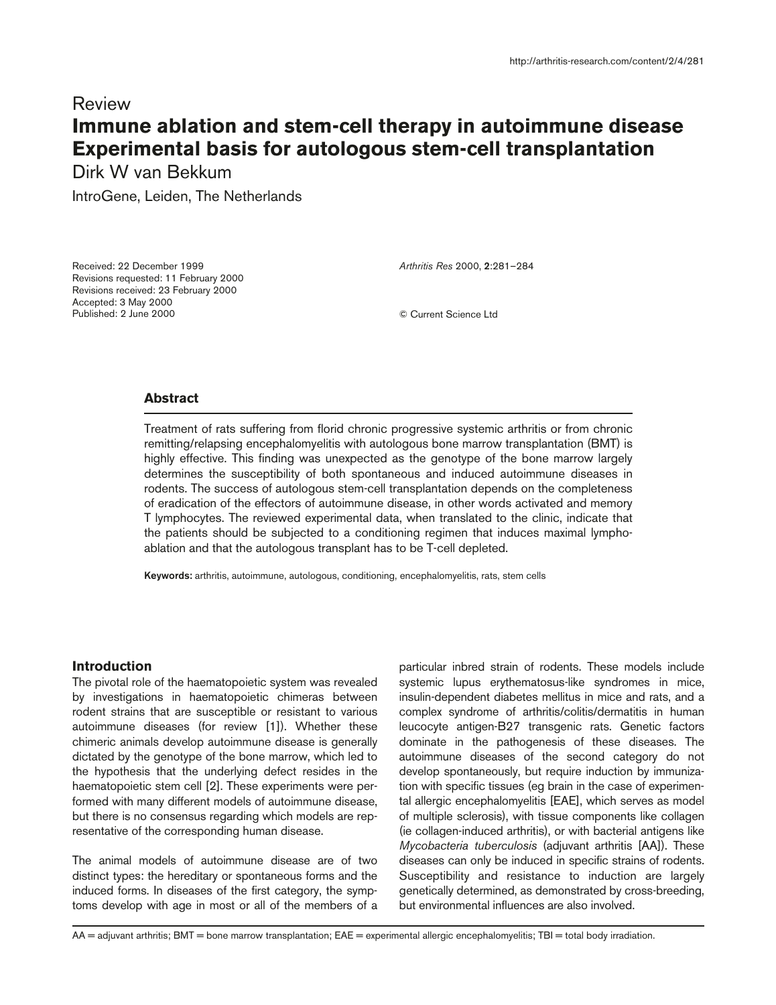# Review **Immune ablation and stem-cell therapy in autoimmune disease Experimental basis for autologous stem-cell transplantation**

Dirk W van Bekkum

IntroGene, Leiden, The Netherlands

Received: 22 December 1999 Revisions requested: 11 February 2000 Revisions received: 23 February 2000 Accepted: 3 May 2000 Published: 2 June 2000

*Arthritis Res* 2000, **2**:281–284

© Current Science Ltd

## **Abstract**

Treatment of rats suffering from florid chronic progressive systemic arthritis or from chronic remitting/relapsing encephalomyelitis with autologous bone marrow transplantation (BMT) is highly effective. This finding was unexpected as the genotype of the bone marrow largely determines the susceptibility of both spontaneous and induced autoimmune diseases in rodents. The success of autologous stem-cell transplantation depends on the completeness of eradication of the effectors of autoimmune disease, in other words activated and memory T lymphocytes. The reviewed experimental data, when translated to the clinic, indicate that the patients should be subjected to a conditioning regimen that induces maximal lymphoablation and that the autologous transplant has to be T-cell depleted.

**Keywords:** arthritis, autoimmune, autologous, conditioning, encephalomyelitis, rats, stem cells

#### **Introduction**

The pivotal role of the haematopoietic system was revealed by investigations in haematopoietic chimeras between rodent strains that are susceptible or resistant to various autoimmune diseases (for review [1]). Whether these chimeric animals develop autoimmune disease is generally dictated by the genotype of the bone marrow, which led to the hypothesis that the underlying defect resides in the haematopoietic stem cell [2]. These experiments were performed with many different models of autoimmune disease, but there is no consensus regarding which models are representative of the corresponding human disease.

The animal models of autoimmune disease are of two distinct types: the hereditary or spontaneous forms and the induced forms. In diseases of the first category, the symptoms develop with age in most or all of the members of a particular inbred strain of rodents. These models include systemic lupus erythematosus-like syndromes in mice, insulin-dependent diabetes mellitus in mice and rats, and a complex syndrome of arthritis/colitis/dermatitis in human leucocyte antigen-B27 transgenic rats. Genetic factors dominate in the pathogenesis of these diseases. The autoimmune diseases of the second category do not develop spontaneously, but require induction by immunization with specific tissues (eg brain in the case of experimental allergic encephalomyelitis [EAE], which serves as model of multiple sclerosis), with tissue components like collagen (ie collagen-induced arthritis), or with bacterial antigens like *Mycobacteria tuberculosis* (adjuvant arthritis [AA]). These diseases can only be induced in specific strains of rodents. Susceptibility and resistance to induction are largely genetically determined, as demonstrated by cross-breeding, but environmental influences are also involved.

AA = adjuvant arthritis; BMT = bone marrow transplantation; EAE = experimental allergic encephalomyelitis; TBI = total body irradiation.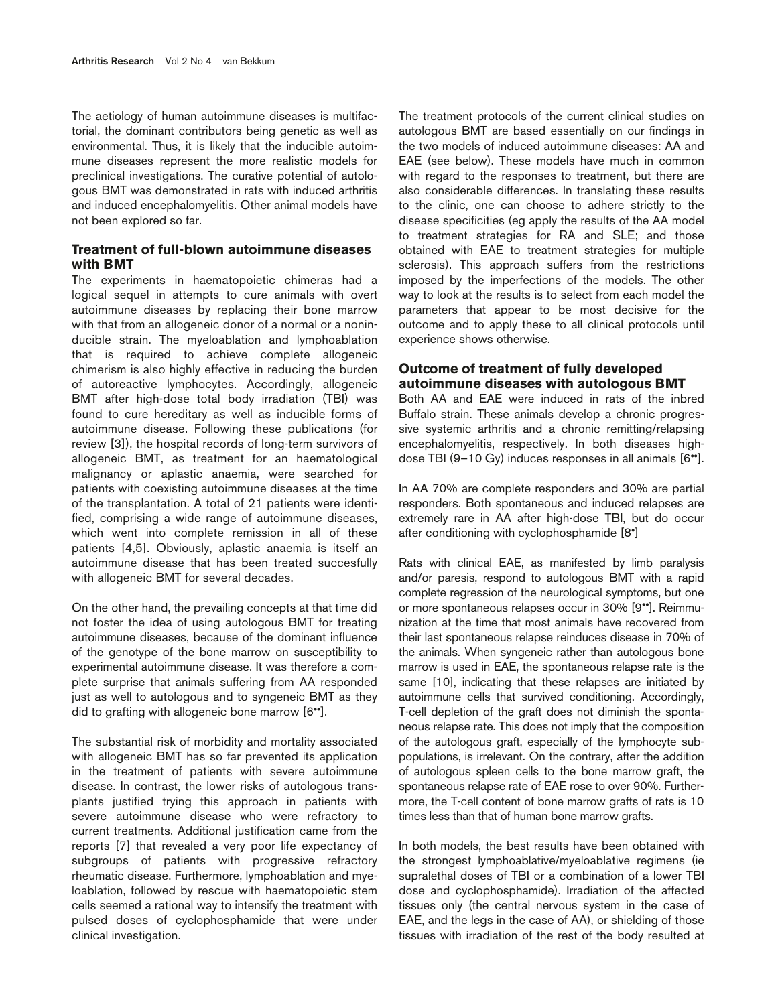The aetiology of human autoimmune diseases is multifactorial, the dominant contributors being genetic as well as environmental. Thus, it is likely that the inducible autoimmune diseases represent the more realistic models for preclinical investigations. The curative potential of autologous BMT was demonstrated in rats with induced arthritis and induced encephalomyelitis. Other animal models have not been explored so far.

# **Treatment of full-blown autoimmune diseases with BMT**

The experiments in haematopoietic chimeras had a logical sequel in attempts to cure animals with overt autoimmune diseases by replacing their bone marrow with that from an allogeneic donor of a normal or a noninducible strain. The myeloablation and lymphoablation that is required to achieve complete allogeneic chimerism is also highly effective in reducing the burden of autoreactive lymphocytes. Accordingly, allogeneic BMT after high-dose total body irradiation (TBI) was found to cure hereditary as well as inducible forms of autoimmune disease. Following these publications (for review [3]), the hospital records of long-term survivors of allogeneic BMT, as treatment for an haematological malignancy or aplastic anaemia, were searched for patients with coexisting autoimmune diseases at the time of the transplantation. A total of 21 patients were identified, comprising a wide range of autoimmune diseases, which went into complete remission in all of these patients [4,5]. Obviously, aplastic anaemia is itself an autoimmune disease that has been treated succesfully with allogeneic BMT for several decades.

On the other hand, the prevailing concepts at that time did not foster the idea of using autologous BMT for treating autoimmune diseases, because of the dominant influence of the genotype of the bone marrow on susceptibility to experimental autoimmune disease. It was therefore a complete surprise that animals suffering from AA responded just as well to autologous and to syngeneic BMT as they did to grafting with allogeneic bone marrow [6••].

The substantial risk of morbidity and mortality associated with allogeneic BMT has so far prevented its application in the treatment of patients with severe autoimmune disease. In contrast, the lower risks of autologous transplants justified trying this approach in patients with severe autoimmune disease who were refractory to current treatments. Additional justification came from the reports [7] that revealed a very poor life expectancy of subgroups of patients with progressive refractory rheumatic disease. Furthermore, lymphoablation and myeloablation, followed by rescue with haematopoietic stem cells seemed a rational way to intensify the treatment with pulsed doses of cyclophosphamide that were under clinical investigation.

The treatment protocols of the current clinical studies on autologous BMT are based essentially on our findings in the two models of induced autoimmune diseases: AA and EAE (see below). These models have much in common with regard to the responses to treatment, but there are also considerable differences. In translating these results to the clinic, one can choose to adhere strictly to the disease specificities (eg apply the results of the AA model to treatment strategies for RA and SLE; and those obtained with EAE to treatment strategies for multiple sclerosis). This approach suffers from the restrictions imposed by the imperfections of the models. The other way to look at the results is to select from each model the parameters that appear to be most decisive for the outcome and to apply these to all clinical protocols until experience shows otherwise.

## **Outcome of treatment of fully developed autoimmune diseases with autologous BMT**

Both AA and EAE were induced in rats of the inbred Buffalo strain. These animals develop a chronic progressive systemic arthritis and a chronic remitting/relapsing encephalomyelitis, respectively. In both diseases highdose TBI (9–10 Gy) induces responses in all animals [6••].

In AA 70% are complete responders and 30% are partial responders. Both spontaneous and induced relapses are extremely rare in AA after high-dose TBI, but do occur after conditioning with cyclophosphamide [8•]

Rats with clinical EAE, as manifested by limb paralysis and/or paresis, respond to autologous BMT with a rapid complete regression of the neurological symptoms, but one or more spontaneous relapses occur in 30% [9••]. Reimmunization at the time that most animals have recovered from their last spontaneous relapse reinduces disease in 70% of the animals. When syngeneic rather than autologous bone marrow is used in EAE, the spontaneous relapse rate is the same [10], indicating that these relapses are initiated by autoimmune cells that survived conditioning. Accordingly, T-cell depletion of the graft does not diminish the spontaneous relapse rate. This does not imply that the composition of the autologous graft, especially of the lymphocyte subpopulations, is irrelevant. On the contrary, after the addition of autologous spleen cells to the bone marrow graft, the spontaneous relapse rate of EAE rose to over 90%. Furthermore, the T-cell content of bone marrow grafts of rats is 10 times less than that of human bone marrow grafts.

In both models, the best results have been obtained with the strongest lymphoablative/myeloablative regimens (ie supralethal doses of TBI or a combination of a lower TBI dose and cyclophosphamide). Irradiation of the affected tissues only (the central nervous system in the case of EAE, and the legs in the case of AA), or shielding of those tissues with irradiation of the rest of the body resulted at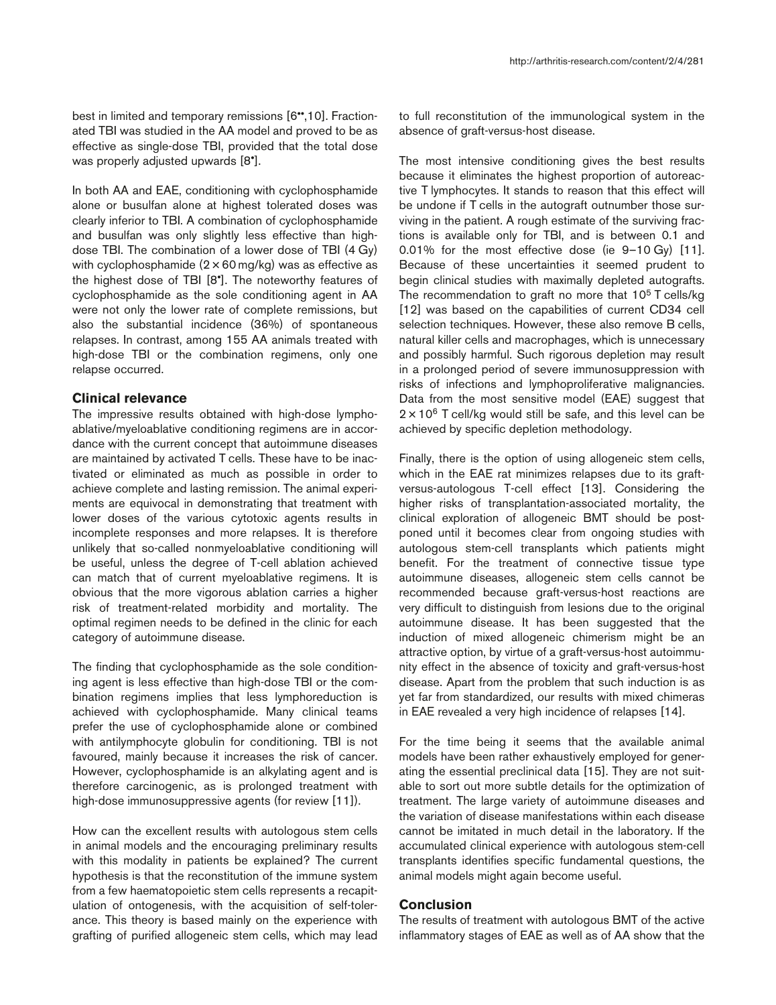best in limited and temporary remissions [6••,10]. Fractionated TBI was studied in the AA model and proved to be as effective as single-dose TBI, provided that the total dose was properly adjusted upwards [8•].

In both AA and EAE, conditioning with cyclophosphamide alone or busulfan alone at highest tolerated doses was clearly inferior to TBI. A combination of cyclophosphamide and busulfan was only slightly less effective than highdose TBI. The combination of a lower dose of TBI (4 Gy) with cyclophosphamide  $(2 \times 60 \,\text{ma/ka})$  was as effective as the highest dose of TBI [8•]. The noteworthy features of cyclophosphamide as the sole conditioning agent in AA were not only the lower rate of complete remissions, but also the substantial incidence (36%) of spontaneous relapses. In contrast, among 155 AA animals treated with high-dose TBI or the combination regimens, only one relapse occurred.

### **Clinical relevance**

The impressive results obtained with high-dose lymphoablative/myeloablative conditioning regimens are in accordance with the current concept that autoimmune diseases are maintained by activated T cells. These have to be inactivated or eliminated as much as possible in order to achieve complete and lasting remission. The animal experiments are equivocal in demonstrating that treatment with lower doses of the various cytotoxic agents results in incomplete responses and more relapses. It is therefore unlikely that so-called nonmyeloablative conditioning will be useful, unless the degree of T-cell ablation achieved can match that of current myeloablative regimens. It is obvious that the more vigorous ablation carries a higher risk of treatment-related morbidity and mortality. The optimal regimen needs to be defined in the clinic for each category of autoimmune disease.

The finding that cyclophosphamide as the sole conditioning agent is less effective than high-dose TBI or the combination regimens implies that less lymphoreduction is achieved with cyclophosphamide. Many clinical teams prefer the use of cyclophosphamide alone or combined with antilymphocyte globulin for conditioning. TBI is not favoured, mainly because it increases the risk of cancer. However, cyclophosphamide is an alkylating agent and is therefore carcinogenic, as is prolonged treatment with high-dose immunosuppressive agents (for review [11]).

How can the excellent results with autologous stem cells in animal models and the encouraging preliminary results with this modality in patients be explained? The current hypothesis is that the reconstitution of the immune system from a few haematopoietic stem cells represents a recapitulation of ontogenesis, with the acquisition of self-tolerance. This theory is based mainly on the experience with grafting of purified allogeneic stem cells, which may lead

to full reconstitution of the immunological system in the absence of graft-versus-host disease.

The most intensive conditioning gives the best results because it eliminates the highest proportion of autoreactive T lymphocytes. It stands to reason that this effect will be undone if T cells in the autograft outnumber those surviving in the patient. A rough estimate of the surviving fractions is available only for TBI, and is between 0.1 and 0.01% for the most effective dose (ie 9–10 Gy) [11]. Because of these uncertainties it seemed prudent to begin clinical studies with maximally depleted autografts. The recommendation to graft no more that  $10<sup>5</sup>$  T cells/kg [12] was based on the capabilities of current CD34 cell selection techniques. However, these also remove B cells, natural killer cells and macrophages, which is unnecessary and possibly harmful. Such rigorous depletion may result in a prolonged period of severe immunosuppression with risks of infections and lymphoproliferative malignancies. Data from the most sensitive model (EAE) suggest that  $2 \times 10^6$  T cell/kg would still be safe, and this level can be achieved by specific depletion methodology.

Finally, there is the option of using allogeneic stem cells, which in the EAE rat minimizes relapses due to its graftversus-autologous T-cell effect [13]. Considering the higher risks of transplantation-associated mortality, the clinical exploration of allogeneic BMT should be postponed until it becomes clear from ongoing studies with autologous stem-cell transplants which patients might benefit. For the treatment of connective tissue type autoimmune diseases, allogeneic stem cells cannot be recommended because graft-versus-host reactions are very difficult to distinguish from lesions due to the original autoimmune disease. It has been suggested that the induction of mixed allogeneic chimerism might be an attractive option, by virtue of a graft-versus-host autoimmunity effect in the absence of toxicity and graft-versus-host disease. Apart from the problem that such induction is as yet far from standardized, our results with mixed chimeras in EAE revealed a very high incidence of relapses [14].

For the time being it seems that the available animal models have been rather exhaustively employed for generating the essential preclinical data [15]. They are not suitable to sort out more subtle details for the optimization of treatment. The large variety of autoimmune diseases and the variation of disease manifestations within each disease cannot be imitated in much detail in the laboratory. If the accumulated clinical experience with autologous stem-cell transplants identifies specific fundamental questions, the animal models might again become useful.

## **Conclusion**

The results of treatment with autologous BMT of the active inflammatory stages of EAE as well as of AA show that the